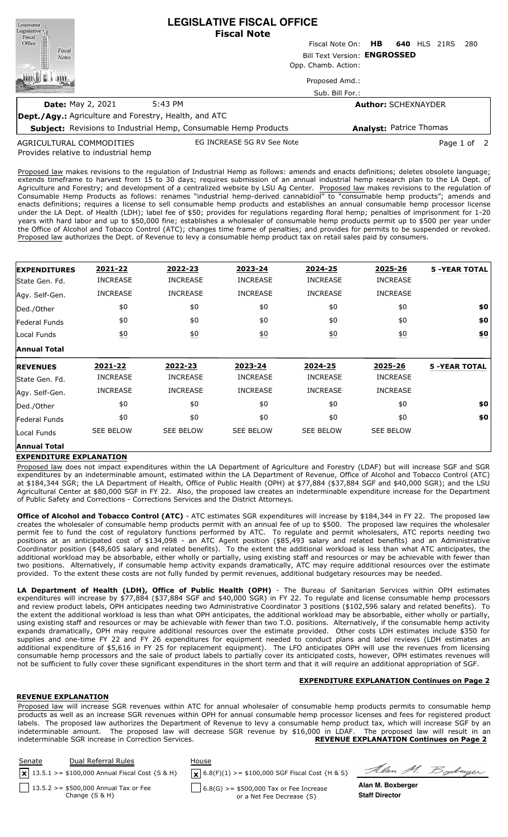| Louisiana<br>Legislative<br>Fiscal                           | <b>LEGISLATIVE FISCAL OFFICE</b><br><b>Fiscal Note</b>                 |                              |     |                                |      |             |  |
|--------------------------------------------------------------|------------------------------------------------------------------------|------------------------------|-----|--------------------------------|------|-------------|--|
| 圖<br>Office                                                  |                                                                        | Fiscal Note On:              | HB. | <b>640 HLS</b>                 | 21RS | 280         |  |
| Fiscal<br><b>Notes</b>                                       |                                                                        | Bill Text Version: ENGROSSED |     |                                |      |             |  |
|                                                              | Opp. Chamb. Action:                                                    |                              |     |                                |      |             |  |
|                                                              |                                                                        | Proposed Amd.:               |     |                                |      |             |  |
|                                                              |                                                                        | Sub. Bill For.:              |     |                                |      |             |  |
| <b>Date: May 2, 2021</b>                                     | 5:43 PM                                                                |                              |     | <b>Author: SCHEXNAYDER</b>     |      |             |  |
| <b>Dept./Agy.:</b> Agriculture and Forestry, Health, and ATC |                                                                        |                              |     |                                |      |             |  |
|                                                              | <b>Subject:</b> Revisions to Industrial Hemp, Consumable Hemp Products |                              |     | <b>Analyst: Patrice Thomas</b> |      |             |  |
| AGRICULTURAL COMMODITIES                                     | EG INCREASE SG RV See Note                                             |                              |     |                                |      | Page 1 of 2 |  |

Provides relative to industrial hemp AGRICULTURAL COMMODITIES

Proposed law makes revisions to the regulation of Industrial Hemp as follows: amends and enacts definitions; deletes obsolete language; extends timeframe to harvest from 15 to 30 days; requires submission of an annual industrial hemp research plan to the LA Dept. of Agriculture and Forestry; and development of a centralized website by LSU Ag Center. Proposed law makes revisions to the regulation of Consumable Hemp Products as follows: renames "industrial hemp-derived cannabidiol" to "consumable hemp products"; amends and enacts definitions; requires a license to sell consumable hemp products and establishes an annual consumable hemp processor license under the LA Dept. of Health (LDH); label fee of \$50; provides for regulations regarding floral hemp; penalties of imprisonment for 1-20 years with hard labor and up to \$50,000 fine; establishes a wholesaler of consumable hemp products permit up to \$500 per year under the Office of Alcohol and Tobacco Control (ATC); changes time frame of penalties; and provides for permits to be suspended or revoked. Proposed law authorizes the Dept. of Revenue to levy a consumable hemp product tax on retail sales paid by consumers.

| <b>EXPENDITURES</b>  | 2021-22          | 2022-23          | 2023-24          | 2024-25          | 2025-26          | <b>5 -YEAR TOTAL</b> |
|----------------------|------------------|------------------|------------------|------------------|------------------|----------------------|
| lState Gen. Fd.      | <b>INCREASE</b>  | <b>INCREASE</b>  | <b>INCREASE</b>  | <b>INCREASE</b>  | <b>INCREASE</b>  |                      |
| Agy. Self-Gen.       | <b>INCREASE</b>  | <b>INCREASE</b>  | <b>INCREASE</b>  | <b>INCREASE</b>  | <b>INCREASE</b>  |                      |
| Ded./Other           | \$0              | \$0              | \$0              | \$0              | \$0              | \$0                  |
| <b>Federal Funds</b> | \$0              | \$0              | \$0              | \$0              | \$0              | \$0                  |
| Local Funds          | 60               | 60               | 60               | 60               | 60               | \$0                  |
| <b>Annual Total</b>  |                  |                  |                  |                  |                  |                      |
|                      | 2021-22          | 2022-23          | 2023-24          | 2024-25          | 2025-26          | <b>5 -YEAR TOTAL</b> |
| <b>REVENUES</b>      |                  |                  |                  |                  |                  |                      |
| State Gen. Fd.       | <b>INCREASE</b>  | <b>INCREASE</b>  | <b>INCREASE</b>  | <b>INCREASE</b>  | <b>INCREASE</b>  |                      |
| Agy. Self-Gen.       | <b>INCREASE</b>  | <b>INCREASE</b>  | <b>INCREASE</b>  | <b>INCREASE</b>  | <b>INCREASE</b>  |                      |
| Ded./Other           | \$0              | \$0              | \$0              | \$0              | \$0              | \$0                  |
| Federal Funds        | \$0              | \$0              | \$0              | \$0              | \$0              | \$0                  |
| Local Funds          | <b>SEE BELOW</b> | <b>SEE BELOW</b> | <b>SEE BELOW</b> | <b>SEE BELOW</b> | <b>SEE BELOW</b> |                      |

## **EXPENDITURE EXPLANATION**

Proposed law does not impact expenditures within the LA Department of Agriculture and Forestry (LDAF) but will increase SGF and SGR expenditures by an indeterminable amount, estimated within the LA Department of Revenue, Office of Alcohol and Tobacco Control (ATC) at \$184,344 SGR; the LA Department of Health, Office of Public Health (OPH) at \$77,884 (\$37,884 SGF and \$40,000 SGR); and the LSU Agricultural Center at \$80,000 SGF in FY 22. Also, the proposed law creates an indeterminable expenditure increase for the Department of Public Safety and Corrections - Corrections Services and the District Attorneys.

**Office of Alcohol and Tobacco Control (ATC)** - ATC estimates SGR expenditures will increase by \$184,344 in FY 22. The proposed law creates the wholesaler of consumable hemp products permit with an annual fee of up to \$500. The proposed law requires the wholesaler permit fee to fund the cost of regulatory functions performed by ATC. To regulate and permit wholesalers, ATC reports needing two positions at an anticipated cost of \$134,098 - an ATC Agent position (\$85,493 salary and related benefits) and an Administrative Coordinator position (\$48,605 salary and related benefits). To the extent the additional workload is less than what ATC anticipates, the additional workload may be absorbable, either wholly or partially, using existing staff and resources or may be achievable with fewer than two positions. Alternatively, if consumable hemp activity expands dramatically, ATC may require additional resources over the estimate provided. To the extent these costs are not fully funded by permit revenues, additional budgetary resources may be needed.

**LA Department of Health (LDH), Office of Public Health (OPH)** - The Bureau of Sanitarian Services within OPH estimates expenditures will increase by \$77,884 (\$37,884 SGF and \$40,000 SGR) in FY 22. To regulate and license consumable hemp processors and review product labels, OPH anticipates needing two Administrative Coordinator 3 positions (\$102,596 salary and related benefits). To the extent the additional workload is less than what OPH anticipates, the additional workload may be absorbable, either wholly or partially, using existing staff and resources or may be achievable with fewer than two T.O. positions. Alternatively, if the consumable hemp activity expands dramatically, OPH may require additional resources over the estimate provided. Other costs LDH estimates include \$350 for supplies and one-time FY 22 and FY 26 expenditures for equipment needed to conduct plans and label reviews (LDH estimates an additional expenditure of \$5,616 in FY 25 for replacement equipment). The LFO anticipates OPH will use the revenues from licensing consumable hemp processors and the sale of product labels to partially cover its anticipated costs, however, OPH estimates revenues will not be sufficient to fully cover these significant expenditures in the short term and that it will require an additional appropriation of SGF.

# **EXPENDITURE EXPLANATION Continues on Page 2**

### **REVENUE EXPLANATION**

Proposed law will increase SGR revenues within ATC for annual wholesaler of consumable hemp products permits to consumable hemp products as well as an increase SGR revenues within OPH for annual consumable hemp processor licenses and fees for registered product labels. The proposed law authorizes the Department of Revenue to levy a consumable hemp product tax, which will increase SGF by an indeterminable amount. The proposed law will decrease SGR revenue by \$16,000 in LDAF. The proposed law will result in an indeterminable SGR increase in Correction Services. **REVENUE EXPLANATION Continues on Page 2**

| Senate | Dual Referral Rules                                                        | House                                                                  |                                            |
|--------|----------------------------------------------------------------------------|------------------------------------------------------------------------|--------------------------------------------|
|        | $\left  \mathbf{x} \right $ 13.5.1 >= \$100,000 Annual Fiscal Cost {S & H} | $\mathbf{X}$ 6.8(F)(1) >= \$100,000 SGF Fiscal Cost {H & S}            | Alan M. Boderger                           |
|        | $13.5.2 > = $500,000$ Annual Tax or Fee<br>Change $\{S \& H\}$             | $6.8(G)$ >= \$500,000 Tax or Fee Increase<br>or a Net Fee Decrease {S} | Alan M. Boxberger<br><b>Staff Director</b> |